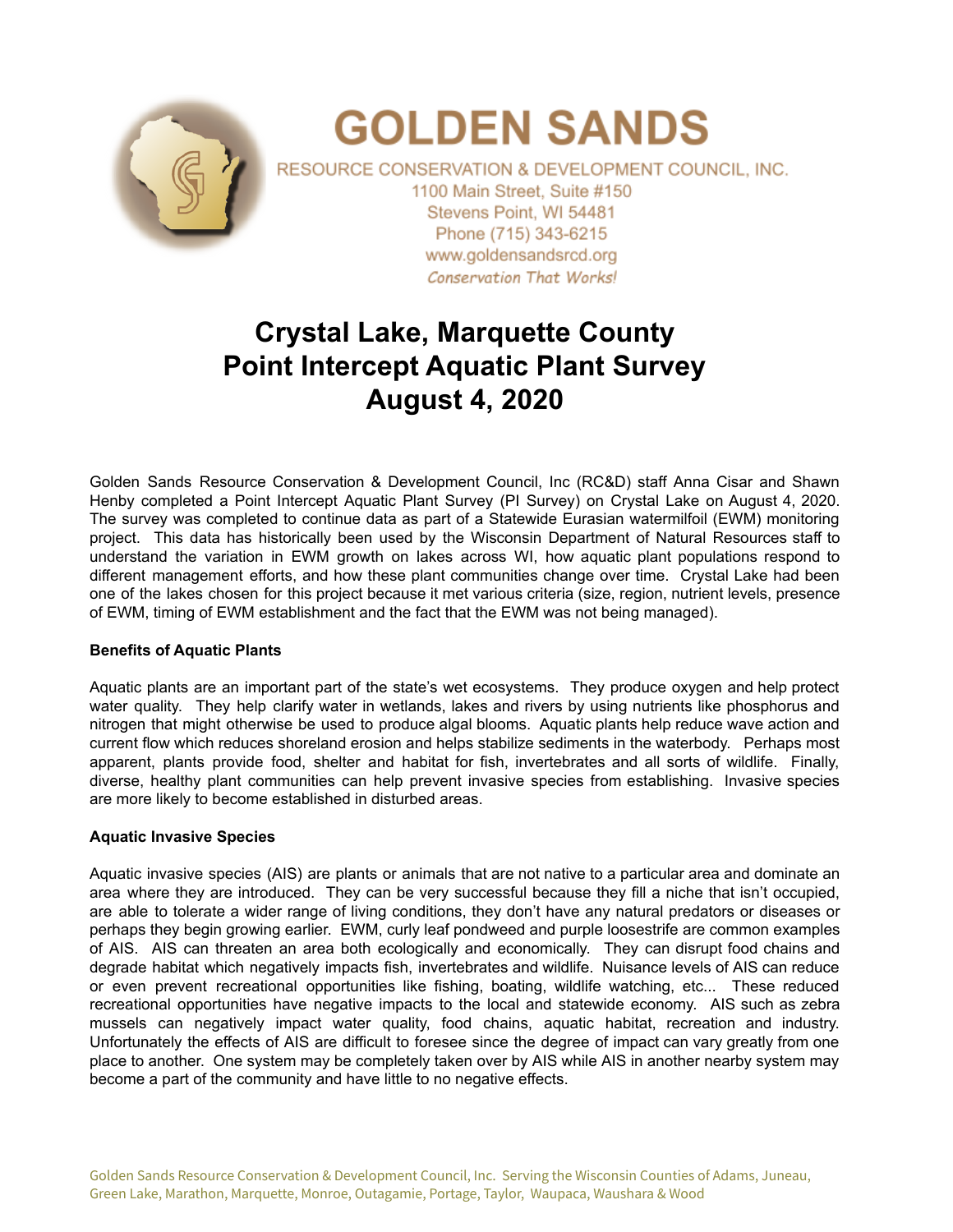

# **GOLDEN SANDS**

RESOURCE CONSERVATION & DEVELOPMENT COUNCIL, INC. 1100 Main Street. Suite #150 Stevens Point, WI 54481 Phone (715) 343-6215 www.goldensandsrcd.org **Conservation That Works!** 

# **Crystal Lake, Marquette County Point Intercept Aquatic Plant Survey August 4, 2020**

Golden Sands Resource Conservation & Development Council, Inc (RC&D) staff Anna Cisar and Shawn Henby completed a Point Intercept Aquatic Plant Survey (PI Survey) on Crystal Lake on August 4, 2020. The survey was completed to continue data as part of a Statewide Eurasian watermilfoil (EWM) monitoring project. This data has historically been used by the Wisconsin Department of Natural Resources staff to understand the variation in EWM growth on lakes across WI, how aquatic plant populations respond to different management efforts, and how these plant communities change over time. Crystal Lake had been one of the lakes chosen for this project because it met various criteria (size, region, nutrient levels, presence of EWM, timing of EWM establishment and the fact that the EWM was not being managed).

### **Benefits of Aquatic Plants**

Aquatic plants are an important part of the state's wet ecosystems. They produce oxygen and help protect water quality. They help clarify water in wetlands, lakes and rivers by using nutrients like phosphorus and nitrogen that might otherwise be used to produce algal blooms. Aquatic plants help reduce wave action and current flow which reduces shoreland erosion and helps stabilize sediments in the waterbody. Perhaps most apparent, plants provide food, shelter and habitat for fish, invertebrates and all sorts of wildlife. Finally, diverse, healthy plant communities can help prevent invasive species from establishing. Invasive species are more likely to become established in disturbed areas.

#### **Aquatic Invasive Species**

Aquatic invasive species (AIS) are plants or animals that are not native to a particular area and dominate an area where they are introduced. They can be very successful because they fill a niche that isn't occupied, are able to tolerate a wider range of living conditions, they don't have any natural predators or diseases or perhaps they begin growing earlier. EWM, curly leaf pondweed and purple loosestrife are common examples of AIS. AIS can threaten an area both ecologically and economically. They can disrupt food chains and degrade habitat which negatively impacts fish, invertebrates and wildlife. Nuisance levels of AIS can reduce or even prevent recreational opportunities like fishing, boating, wildlife watching, etc... These reduced recreational opportunities have negative impacts to the local and statewide economy. AIS such as zebra mussels can negatively impact water quality, food chains, aquatic habitat, recreation and industry. Unfortunately the effects of AIS are difficult to foresee since the degree of impact can vary greatly from one place to another. One system may be completely taken over by AIS while AIS in another nearby system may become a part of the community and have little to no negative effects.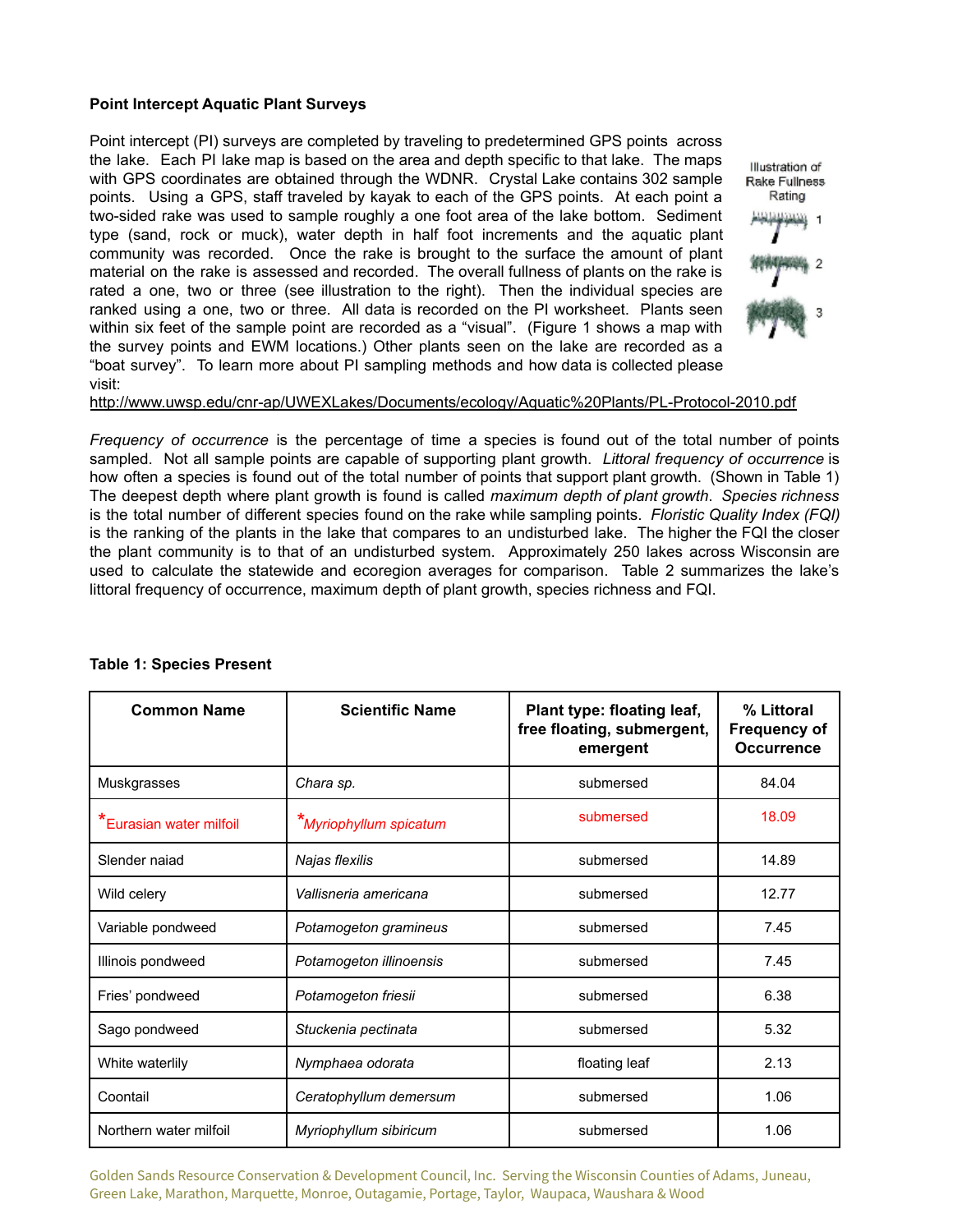#### **Point Intercept Aquatic Plant Surveys**

Point intercept (PI) surveys are completed by traveling to predetermined GPS points across the lake. Each PI lake map is based on the area and depth specific to that lake. The maps with GPS coordinates are obtained through the WDNR. Crystal Lake contains 302 sample points. Using a GPS, staff traveled by kayak to each of the GPS points. At each point a two-sided rake was used to sample roughly a one foot area of the lake bottom. Sediment type (sand, rock or muck), water depth in half foot increments and the aquatic plant community was recorded. Once the rake is brought to the surface the amount of plant material on the rake is assessed and recorded. The overall fullness of plants on the rake is rated a one, two or three (see illustration to the right). Then the individual species are ranked using a one, two or three. All data is recorded on the PI worksheet. Plants seen within six feet of the sample point are recorded as a "visual". (Figure 1 shows a map with the survey points and EWM locations.) Other plants seen on the lake are recorded as a "boat survey". To learn more about PI sampling methods and how data is collected please visit:



#### <http://www.uwsp.edu/cnr-ap/UWEXLakes/Documents/ecology/Aquatic%20Plants/PL-Protocol-2010.pdf>

*Frequency of occurrence* is the percentage of time a species is found out of the total number of points sampled. Not all sample points are capable of supporting plant growth. *Littoral frequency of occurrence* is how often a species is found out of the total number of points that support plant growth. (Shown in Table 1) The deepest depth where plant growth is found is called *maximum depth of plant growth*. *Species richness* is the total number of different species found on the rake while sampling points. *Floristic Quality Index (FQI)* is the ranking of the plants in the lake that compares to an undisturbed lake. The higher the FQI the closer the plant community is to that of an undisturbed system. Approximately 250 lakes across Wisconsin are used to calculate the statewide and ecoregion averages for comparison. Table 2 summarizes the lake's littoral frequency of occurrence, maximum depth of plant growth, species richness and FQI.

| <b>Common Name</b>      | <b>Scientific Name</b>  | Plant type: floating leaf,<br>free floating, submergent,<br>emergent | % Littoral<br><b>Frequency of</b><br><b>Occurrence</b> |
|-------------------------|-------------------------|----------------------------------------------------------------------|--------------------------------------------------------|
| Muskgrasses             | Chara sp.               | submersed                                                            | 84.04                                                  |
| *Eurasian water milfoil | *Myriophyllum spicatum  | submersed                                                            | 18.09                                                  |
| Slender naiad           | Najas flexilis          | submersed                                                            | 14.89                                                  |
| Wild celery             | Vallisneria americana   | submersed                                                            | 12.77                                                  |
| Variable pondweed       | Potamogeton gramineus   | submersed                                                            | 7.45                                                   |
| Illinois pondweed       | Potamogeton illinoensis | submersed                                                            | 7.45                                                   |
| Fries' pondweed         | Potamogeton friesii     | submersed                                                            | 6.38                                                   |
| Sago pondweed           | Stuckenia pectinata     | 5.32<br>submersed                                                    |                                                        |
| White waterlily         | Nymphaea odorata        | floating leaf                                                        | 2.13                                                   |
| Coontail                | Ceratophyllum demersum  | submersed                                                            | 1.06                                                   |
| Northern water milfoil  | Myriophyllum sibiricum  | submersed                                                            | 1.06                                                   |

#### **Table 1: Species Present**

Golden Sands Resource Conservation & Development Council, Inc. Serving the Wisconsin Counties of Adams, Juneau, Green Lake, Marathon, Marquette, Monroe, Outagamie, Portage, Taylor, Waupaca, Waushara & Wood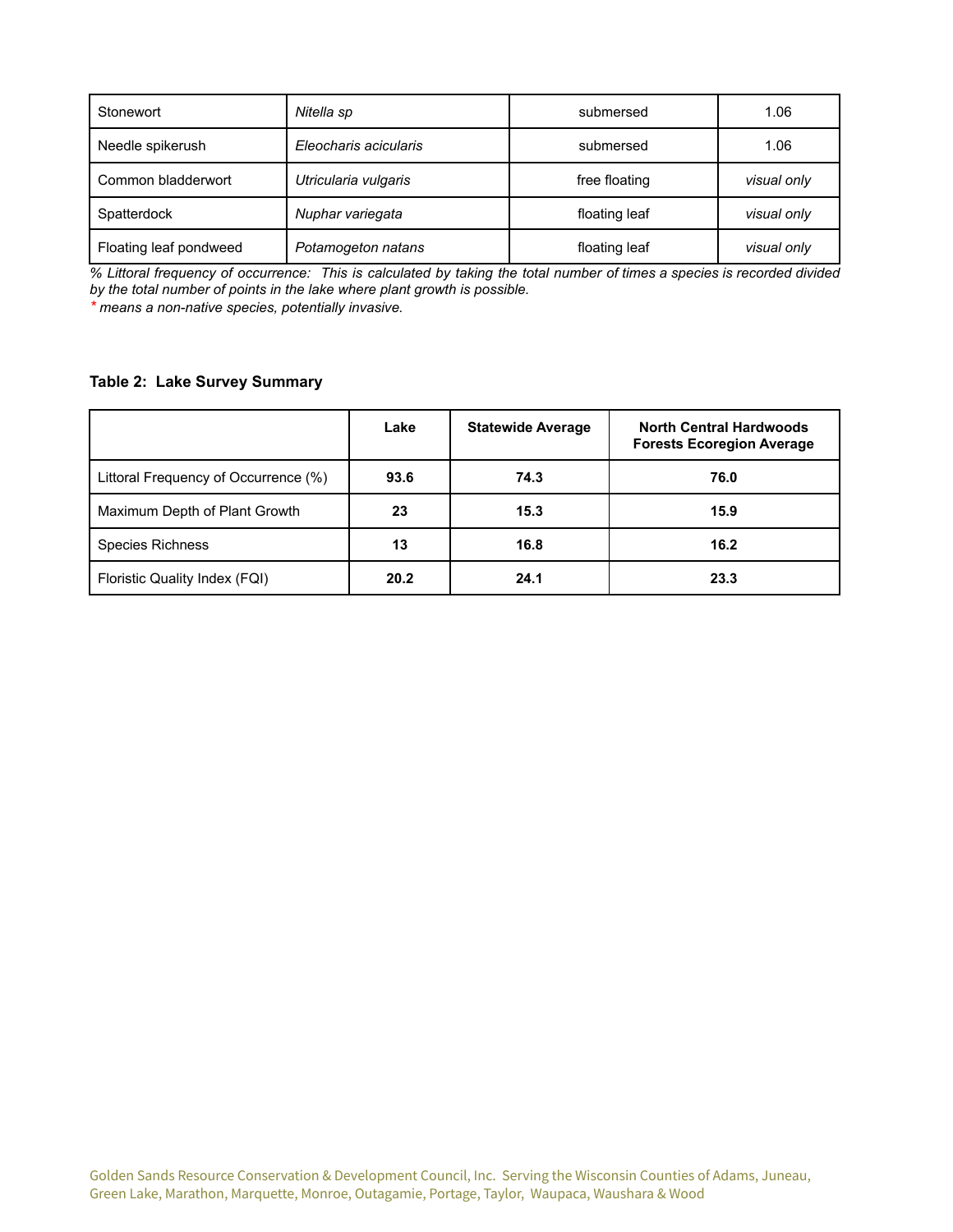| Stonewort              | Nitella sp            | submersed                    | 1.06        |
|------------------------|-----------------------|------------------------------|-------------|
| Needle spikerush       | Eleocharis acicularis | 1.06<br>submersed            |             |
| Common bladderwort     | Utricularia vulgaris  | free floating                | visual only |
| Spatterdock            | Nuphar variegata      | floating leaf<br>visual only |             |
| Floating leaf pondweed | Potamogeton natans    | floating leaf                | visual only |

% Littoral frequency of occurrence: This is calculated by taking the total number of times a species is recorded divided *by the total number of points in the lake where plant growth is possible.*

*\* means a non-native species, potentially invasive.*

## **Table 2: Lake Survey Summary**

|                                      | Lake | <b>Statewide Average</b> | <b>North Central Hardwoods</b><br><b>Forests Ecoregion Average</b> |
|--------------------------------------|------|--------------------------|--------------------------------------------------------------------|
| Littoral Frequency of Occurrence (%) | 93.6 | 74.3                     | 76.0                                                               |
| Maximum Depth of Plant Growth        | 23   | 15.3                     | 15.9                                                               |
| <b>Species Richness</b>              | 13   | 16.8                     | 16.2                                                               |
| Floristic Quality Index (FQI)        | 20.2 | 24.1                     | 23.3                                                               |